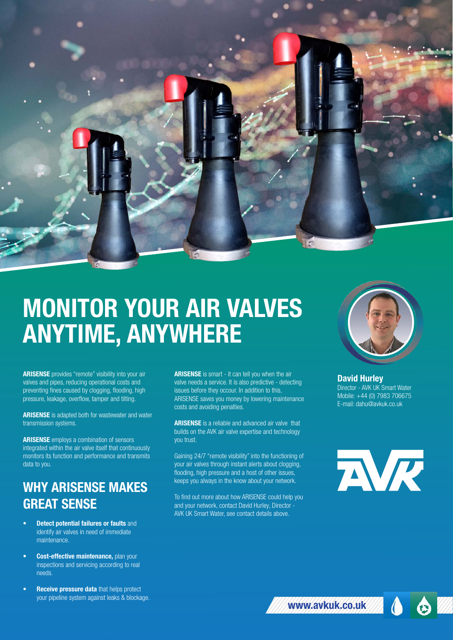

# MONITOR YOUR AIR VALVES ANYTIME, ANYWHERE

ARISENSE provides "remote" visibility into your air valves and pipes, reducing operational costs and preventing fines caused by clogging, flooding, high pressure, leakage, overflow, tamper and tilting.

ARISENSE is adapted both for wastewater and water transmission systems.

ARISENSE employs a combination of sensors integrated within the air valve itself that continuously monitors its function and performance and transmits data to you.

# WHY ARISENSE MAKES GREAT SENSE

- **Detect potential failures or faults and** identify air valves in need of immediate maintenance.
- **Cost-effective maintenance, plan your** inspections and servicing according to real needs.
- **Receive pressure data that helps protect** your pipeline system against leaks & blockage.

ARISENSE is smart - it can tell you when the air valve needs a service. It is also predictive - detecting issues before they occour. In addition to this, ARISENSE saves you money by lowering maintenance costs and avoiding penalties.

**ARISENSE** is a reliable and advanced air valve that builds on the AVK air valve expertise and technology you trust.

Gaining 24/7 "remote visibility" into the functioning of your air valves through instant alerts about clogging, flooding, high pressure and a host of other issues, keeps you always in the know about your network.

To find out more about how ARISENSE could help you and your network, contact David Hurley, Director - AVK UK Smart Water, see contact details above.



David Hurley Director - AVK UK Smart Water Mobile: +44 (0) 7983 706675 E-mail: dahu@avkuk.co.uk



⊕

www.avkuk.co.uk